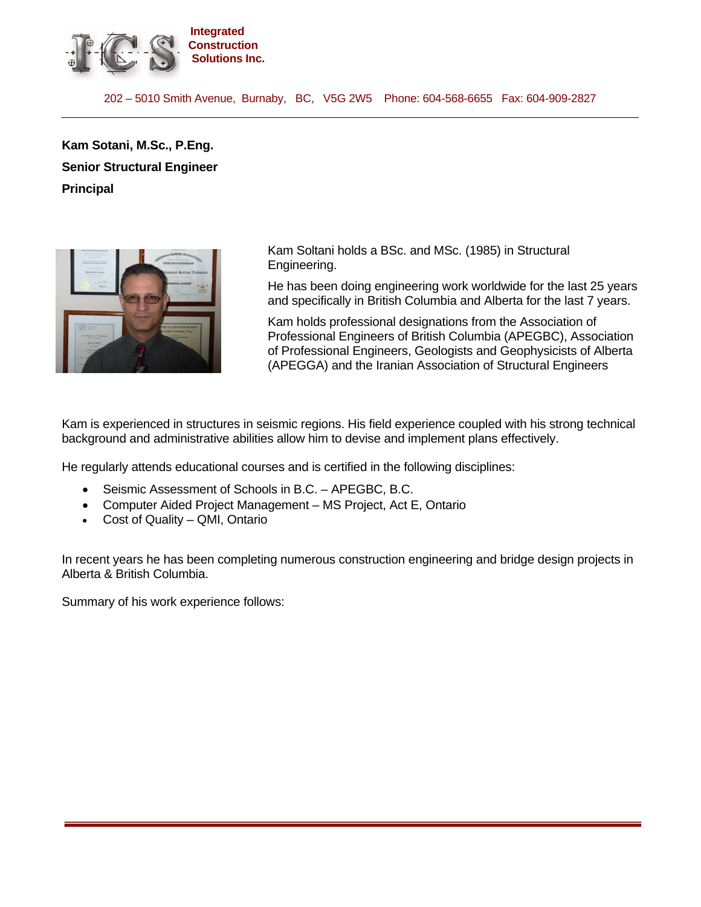

202 – 5010 Smith Avenue, Burnaby, BC, V5G 2W5 Phone: 604-568-6655 Fax: 604-909-2827

**Kam Sotani, M.Sc., P.Eng. Senior Structural Engineer Principal** 



Kam Soltani holds a BSc. and MSc. (1985) in Structural Engineering.

He has been doing engineering work worldwide for the last 25 years and specifically in British Columbia and Alberta for the last 7 years.

Kam holds professional designations from the Association of Professional Engineers of British Columbia (APEGBC), Association of Professional Engineers, Geologists and Geophysicists of Alberta (APEGGA) and the Iranian Association of Structural Engineers

Kam is experienced in structures in seismic regions. His field experience coupled with his strong technical background and administrative abilities allow him to devise and implement plans effectively.

He regularly attends educational courses and is certified in the following disciplines:

- Seismic Assessment of Schools in B.C. APEGBC, B.C.
- Computer Aided Project Management MS Project, Act E, Ontario
- Cost of Quality QMI, Ontario

In recent years he has been completing numerous construction engineering and bridge design projects in Alberta & British Columbia.

Summary of his work experience follows: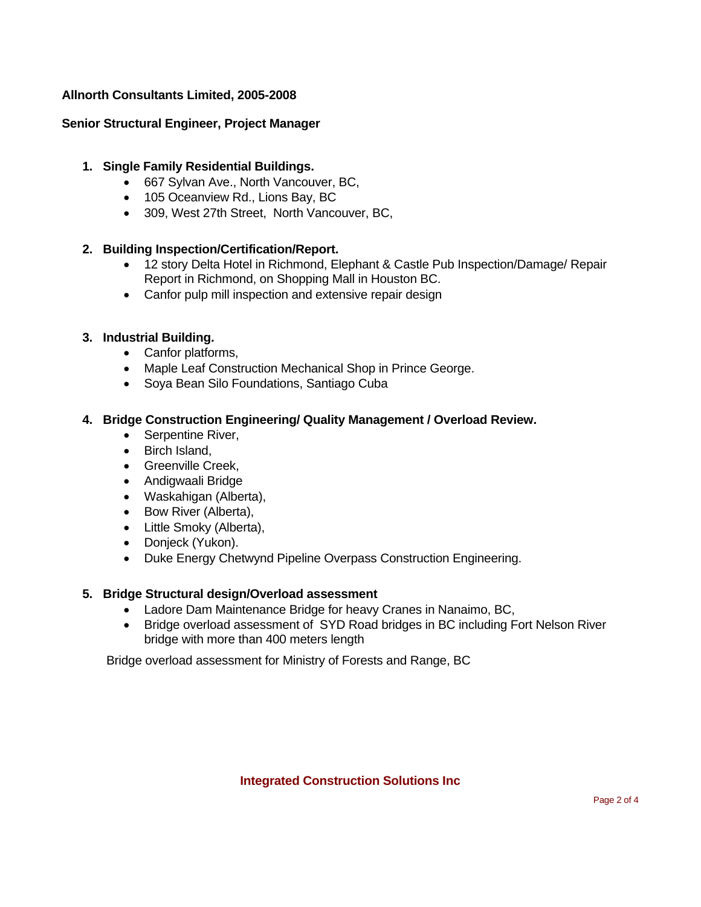# **Allnorth Consultants Limited, 2005-2008**

## **Senior Structural Engineer, Project Manager**

### **1. Single Family Residential Buildings.**

- 667 Sylvan Ave., North Vancouver, BC,
- 105 Oceanview Rd., Lions Bay, BC
- 309, West 27th Street, North Vancouver, BC,

### **2. Building Inspection/Certification/Report.**

- 12 story Delta Hotel in Richmond, Elephant & Castle Pub Inspection/Damage/ Repair Report in Richmond, on Shopping Mall in Houston BC.
- Canfor pulp mill inspection and extensive repair design

### **3. Industrial Building.**

- Canfor platforms,
- Maple Leaf Construction Mechanical Shop in Prince George.
- Soya Bean Silo Foundations, Santiago Cuba

### **4. Bridge Construction Engineering/ Quality Management / Overload Review.**

- Serpentine River,
- Birch Island,
- Greenville Creek,
- Andigwaali Bridge
- Waskahigan (Alberta),
- Bow River (Alberta),
- Little Smoky (Alberta),
- Donjeck (Yukon).
- Duke Energy Chetwynd Pipeline Overpass Construction Engineering.

#### **5. Bridge Structural design/Overload assessment**

- Ladore Dam Maintenance Bridge for heavy Cranes in Nanaimo, BC,
- Bridge overload assessment of SYD Road bridges in BC including Fort Nelson River bridge with more than 400 meters length

Bridge overload assessment for Ministry of Forests and Range, BC

#### **Integrated Construction Solutions Inc**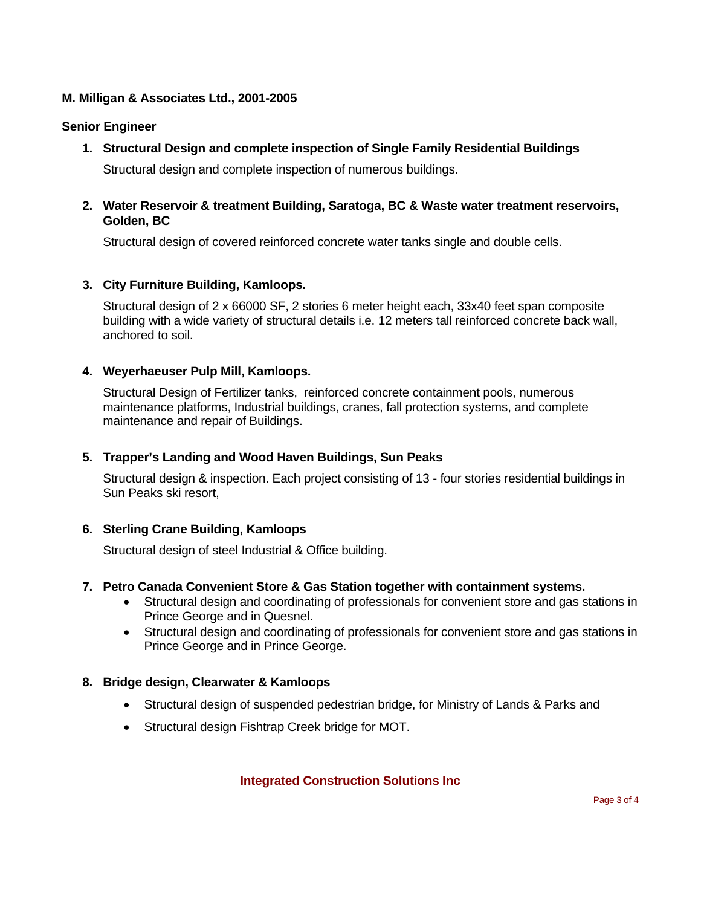# **M. Milligan & Associates Ltd., 2001-2005**

## **Senior Engineer**

**1. Structural Design and complete inspection of Single Family Residential Buildings** 

Structural design and complete inspection of numerous buildings.

**2. Water Reservoir & treatment Building, Saratoga, BC & Waste water treatment reservoirs, Golden, BC** 

Structural design of covered reinforced concrete water tanks single and double cells.

### **3. City Furniture Building, Kamloops.**

Structural design of 2 x 66000 SF, 2 stories 6 meter height each, 33x40 feet span composite building with a wide variety of structural details i.e. 12 meters tall reinforced concrete back wall, anchored to soil.

### **4. Weyerhaeuser Pulp Mill, Kamloops.**

Structural Design of Fertilizer tanks, reinforced concrete containment pools, numerous maintenance platforms, Industrial buildings, cranes, fall protection systems, and complete maintenance and repair of Buildings.

## **5. Trapper's Landing and Wood Haven Buildings, Sun Peaks**

Structural design & inspection. Each project consisting of 13 - four stories residential buildings in Sun Peaks ski resort,

## **6. Sterling Crane Building, Kamloops**

Structural design of steel Industrial & Office building.

#### **7. Petro Canada Convenient Store & Gas Station together with containment systems.**

- Structural design and coordinating of professionals for convenient store and gas stations in Prince George and in Quesnel.
- Structural design and coordinating of professionals for convenient store and gas stations in Prince George and in Prince George.

## **8. Bridge design, Clearwater & Kamloops**

- Structural design of suspended pedestrian bridge, for Ministry of Lands & Parks and
- Structural design Fishtrap Creek bridge for MOT.

**Integrated Construction Solutions Inc**